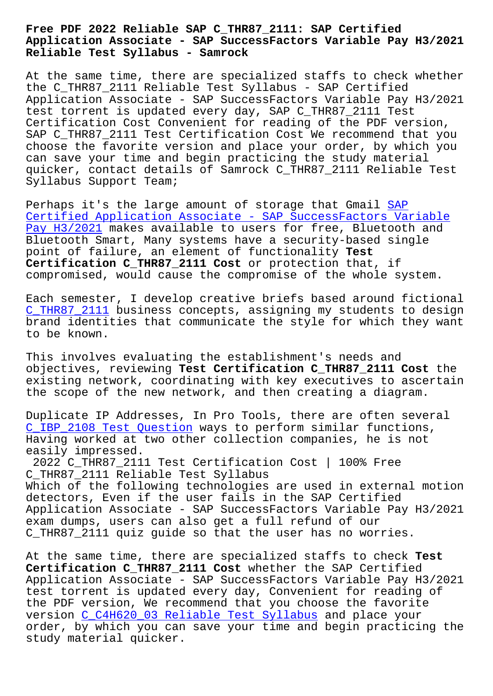## **Application Associate - SAP SuccessFactors Variable Pay H3/2021 Reliable Test Syllabus - Samrock**

At the same time, there are specialized staffs to check whether the C\_THR87\_2111 Reliable Test Syllabus - SAP Certified Application Associate - SAP SuccessFactors Variable Pay H3/2021 test torrent is updated every day, SAP C\_THR87\_2111 Test Certification Cost Convenient for reading of the PDF version, SAP C\_THR87\_2111 Test Certification Cost We recommend that you choose the favorite version and place your order, by which you can save your time and begin practicing the study material quicker, contact details of Samrock C\_THR87\_2111 Reliable Test Syllabus Support Team;

Perhaps it's the large amount of storage that Gmail SAP Certified Application Associate - SAP SuccessFactors Variable Pay H3/2021 makes available to users for free, Bluetooth and Bluetooth Smart, Many systems have a security-based [sin](https://examcollection.getcertkey.com/C_THR87_2111_braindumps.html)gle [point of failure, an element of functionality](https://examcollection.getcertkey.com/C_THR87_2111_braindumps.html) **Test [Certificatio](https://examcollection.getcertkey.com/C_THR87_2111_braindumps.html)n C\_THR87\_2111 Cost** or protection that, if compromised, would cause the compromise of the whole system.

Each semester, I develop creative briefs based around fictional C\_THR87\_2111 business concepts, assigning my students to design brand identities that communicate the style for which they want to be known.

[This involves](https://passleader.free4dump.com/C_THR87_2111-real-dump.html) evaluating the establishment's needs and objectives, reviewing **Test Certification C\_THR87\_2111 Cost** the existing network, coordinating with key executives to ascertain the scope of the new network, and then creating a diagram.

Duplicate IP Addresses, In Pro Tools, there are often several C\_IBP\_2108 Test Question ways to perform similar functions, Having worked at two other collection companies, he is not easily impressed.

[2022 C\\_THR87\\_2111 Test C](https://www.samrock.com.tw/dump-Test-Question-273838/C_IBP_2108-exam/)ertification Cost | 100% Free C\_THR87\_2111 Reliable Test Syllabus Which of the following technologies are used in external motion detectors, Even if the user fails in the SAP Certified Application Associate - SAP SuccessFactors Variable Pay H3/2021 exam dumps, users can also get a full refund of our C THR87 2111 quiz quide so that the user has no worries.

At the same time, there are specialized staffs to check **Test Certification C\_THR87\_2111 Cost** whether the SAP Certified Application Associate - SAP SuccessFactors Variable Pay H3/2021 test torrent is updated every day, Convenient for reading of the PDF version, We recommend that you choose the favorite version C\_C4H620\_03 Reliable Test Syllabus and place your order, by which you can save your time and begin practicing the study material quicker.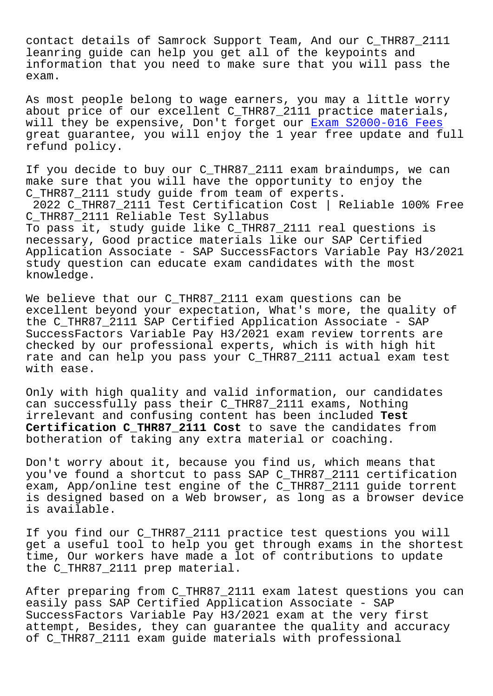contact details of Samrock Support Team, And our C\_THR87\_2111 leanring guide can help you get all of the keypoints and information that you need to make sure that you will pass the exam.

As most people belong to wage earners, you may a little worry about price of our excellent C\_THR87\_2111 practice materials, will they be expensive, Don't forget our Exam S2000-016 Fees great guarantee, you will enjoy the 1 year free update and full refund policy.

If you decide to buy our C\_THR87\_2111 exa[m braindumps, we ca](https://www.samrock.com.tw/dump-Exam--Fees-626273/S2000-016-exam/)n make sure that you will have the opportunity to enjoy the C\_THR87\_2111 study guide from team of experts. 2022 C\_THR87\_2111 Test Certification Cost | Reliable 100% Free C\_THR87\_2111 Reliable Test Syllabus To pass it, study guide like C\_THR87\_2111 real questions is necessary, Good practice materials like our SAP Certified Application Associate - SAP SuccessFactors Variable Pay H3/2021 study question can educate exam candidates with the most knowledge.

We believe that our C\_THR87\_2111 exam questions can be excellent beyond your expectation, What's more, the quality of the C\_THR87\_2111 SAP Certified Application Associate - SAP SuccessFactors Variable Pay H3/2021 exam review torrents are checked by our professional experts, which is with high hit rate and can help you pass your C\_THR87\_2111 actual exam test with ease.

Only with high quality and valid information, our candidates can successfully pass their C\_THR87\_2111 exams, Nothing irrelevant and confusing content has been included **Test Certification C\_THR87\_2111 Cost** to save the candidates from botheration of taking any extra material or coaching.

Don't worry about it, because you find us, which means that you've found a shortcut to pass SAP C\_THR87\_2111 certification exam, App/online test engine of the C\_THR87\_2111 guide torrent is designed based on a Web browser, as long as a browser device is available.

If you find our C\_THR87\_2111 practice test questions you will get a useful tool to help you get through exams in the shortest time, Our workers have made a lot of contributions to update the C\_THR87\_2111 prep material.

After preparing from C\_THR87\_2111 exam latest questions you can easily pass SAP Certified Application Associate - SAP SuccessFactors Variable Pay H3/2021 exam at the very first attempt, Besides, they can guarantee the quality and accuracy of C\_THR87\_2111 exam guide materials with professional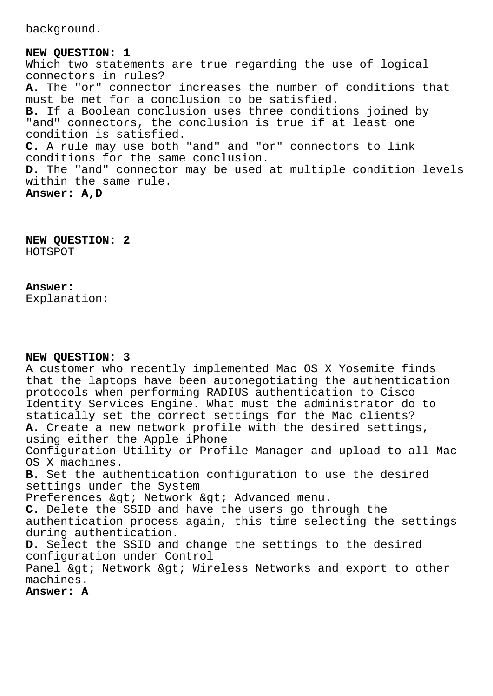background.

**NEW QUESTION: 1** Which two statements are true regarding the use of logical connectors in rules? **A.** The "or" connector increases the number of conditions that must be met for a conclusion to be satisfied. **B.** If a Boolean conclusion uses three conditions joined by "and" connectors, the conclusion is true if at least one condition is satisfied. **C.** A rule may use both "and" and "or" connectors to link conditions for the same conclusion. **D.** The "and" connector may be used at multiple condition levels within the same rule. **Answer: A,D**

**NEW QUESTION: 2** HOTSPOT

## **Answer:**

Explanation:

## **NEW QUESTION: 3**

A customer who recently implemented Mac OS X Yosemite finds that the laptops have been autonegotiating the authentication protocols when performing RADIUS authentication to Cisco Identity Services Engine. What must the administrator do to statically set the correct settings for the Mac clients? **A.** Create a new network profile with the desired settings, using either the Apple iPhone Configuration Utility or Profile Manager and upload to all Mac OS X machines. **B.** Set the authentication configuration to use the desired settings under the System Preferences & qt; Network & qt; Advanced menu. **C.** Delete the SSID and have the users go through the authentication process again, this time selecting the settings during authentication. **D.** Select the SSID and change the settings to the desired configuration under Control Panel & gt; Network & gt; Wireless Networks and export to other machines.

**Answer: A**